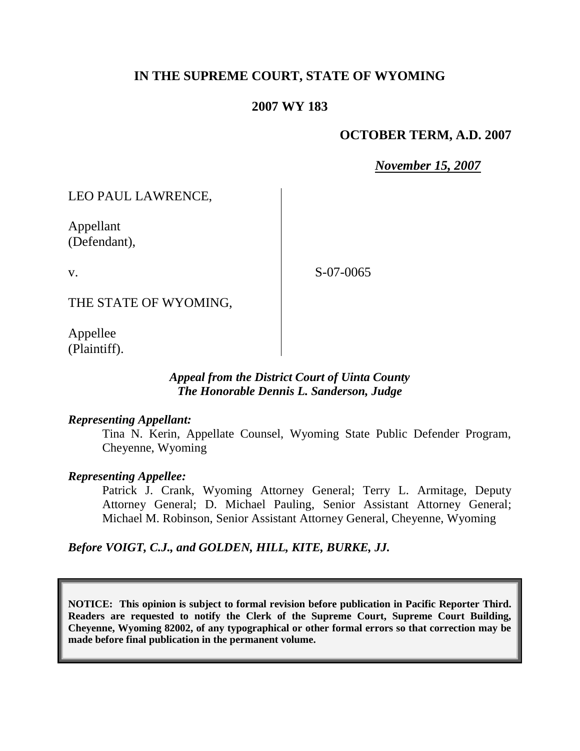## **IN THE SUPREME COURT, STATE OF WYOMING**

### **2007 WY 183**

### **OCTOBER TERM, A.D. 2007**

*November 15, 2007*

LEO PAUL LAWRENCE,

Appellant (Defendant),

v.

S-07-0065

THE STATE OF WYOMING,

Appellee (Plaintiff).

#### *Appeal from the District Court of Uinta County The Honorable Dennis L. Sanderson, Judge*

#### *Representing Appellant:*

Tina N. Kerin, Appellate Counsel, Wyoming State Public Defender Program, Cheyenne, Wyoming

#### *Representing Appellee:*

Patrick J. Crank, Wyoming Attorney General; Terry L. Armitage, Deputy Attorney General; D. Michael Pauling, Senior Assistant Attorney General; Michael M. Robinson, Senior Assistant Attorney General, Cheyenne, Wyoming

*Before VOIGT, C.J., and GOLDEN, HILL, KITE, BURKE, JJ.*

**NOTICE: This opinion is subject to formal revision before publication in Pacific Reporter Third. Readers are requested to notify the Clerk of the Supreme Court, Supreme Court Building, Cheyenne, Wyoming 82002, of any typographical or other formal errors so that correction may be made before final publication in the permanent volume.**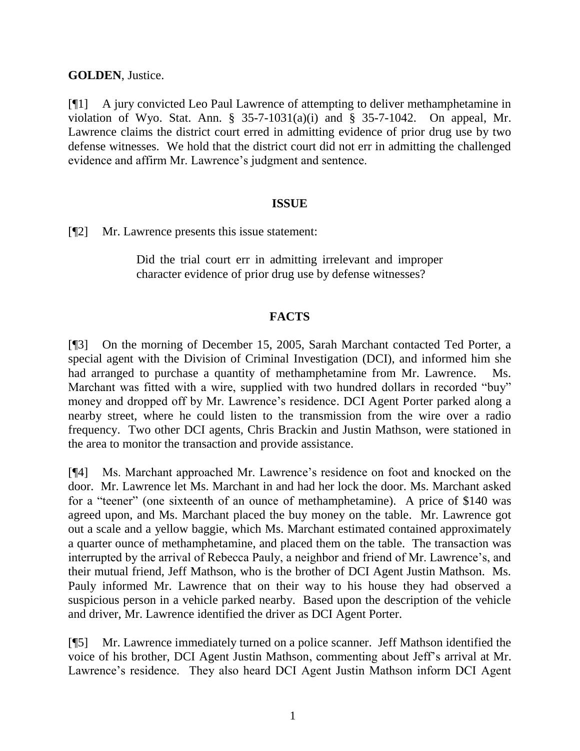**GOLDEN**, Justice.

[¶1] A jury convicted Leo Paul Lawrence of attempting to deliver methamphetamine in violation of Wyo. Stat. Ann.  $\S$  35-7-1031(a)(i) and  $\S$  35-7-1042. On appeal, Mr. Lawrence claims the district court erred in admitting evidence of prior drug use by two defense witnesses. We hold that the district court did not err in admitting the challenged evidence and affirm Mr. Lawrence's judgment and sentence.

### **ISSUE**

[¶2] Mr. Lawrence presents this issue statement:

Did the trial court err in admitting irrelevant and improper character evidence of prior drug use by defense witnesses?

## **FACTS**

[¶3] On the morning of December 15, 2005, Sarah Marchant contacted Ted Porter, a special agent with the Division of Criminal Investigation (DCI), and informed him she had arranged to purchase a quantity of methamphetamine from Mr. Lawrence. Ms. Marchant was fitted with a wire, supplied with two hundred dollars in recorded "buy" money and dropped off by Mr. Lawrence"s residence. DCI Agent Porter parked along a nearby street, where he could listen to the transmission from the wire over a radio frequency. Two other DCI agents, Chris Brackin and Justin Mathson, were stationed in the area to monitor the transaction and provide assistance.

[¶4] Ms. Marchant approached Mr. Lawrence"s residence on foot and knocked on the door. Mr. Lawrence let Ms. Marchant in and had her lock the door. Ms. Marchant asked for a "teener" (one sixteenth of an ounce of methamphetamine). A price of \$140 was agreed upon, and Ms. Marchant placed the buy money on the table. Mr. Lawrence got out a scale and a yellow baggie, which Ms. Marchant estimated contained approximately a quarter ounce of methamphetamine, and placed them on the table. The transaction was interrupted by the arrival of Rebecca Pauly, a neighbor and friend of Mr. Lawrence"s, and their mutual friend, Jeff Mathson, who is the brother of DCI Agent Justin Mathson. Ms. Pauly informed Mr. Lawrence that on their way to his house they had observed a suspicious person in a vehicle parked nearby. Based upon the description of the vehicle and driver, Mr. Lawrence identified the driver as DCI Agent Porter.

[¶5] Mr. Lawrence immediately turned on a police scanner. Jeff Mathson identified the voice of his brother, DCI Agent Justin Mathson, commenting about Jeff"s arrival at Mr. Lawrence"s residence. They also heard DCI Agent Justin Mathson inform DCI Agent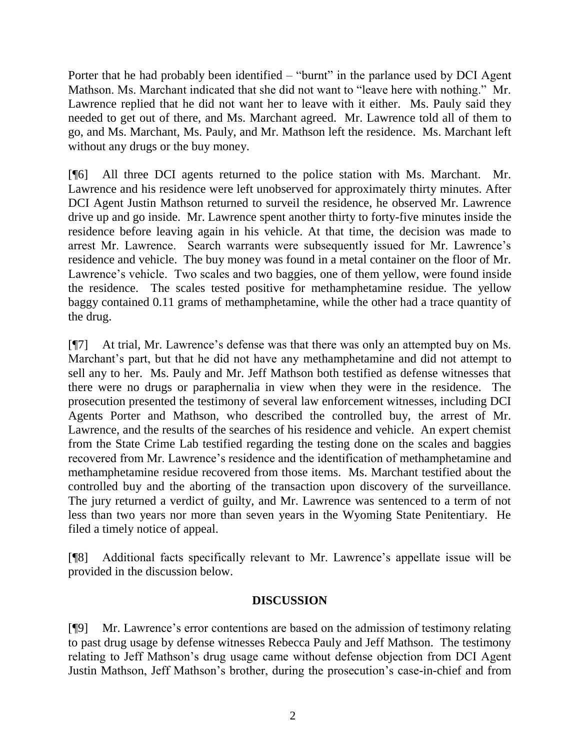Porter that he had probably been identified – "burnt" in the parlance used by DCI Agent Mathson. Ms. Marchant indicated that she did not want to "leave here with nothing." Mr. Lawrence replied that he did not want her to leave with it either. Ms. Pauly said they needed to get out of there, and Ms. Marchant agreed. Mr. Lawrence told all of them to go, and Ms. Marchant, Ms. Pauly, and Mr. Mathson left the residence. Ms. Marchant left without any drugs or the buy money.

[¶6] All three DCI agents returned to the police station with Ms. Marchant. Mr. Lawrence and his residence were left unobserved for approximately thirty minutes. After DCI Agent Justin Mathson returned to surveil the residence, he observed Mr. Lawrence drive up and go inside. Mr. Lawrence spent another thirty to forty-five minutes inside the residence before leaving again in his vehicle. At that time, the decision was made to arrest Mr. Lawrence. Search warrants were subsequently issued for Mr. Lawrence"s residence and vehicle. The buy money was found in a metal container on the floor of Mr. Lawrence's vehicle. Two scales and two baggies, one of them yellow, were found inside the residence. The scales tested positive for methamphetamine residue. The yellow baggy contained 0.11 grams of methamphetamine, while the other had a trace quantity of the drug.

[¶7] At trial, Mr. Lawrence"s defense was that there was only an attempted buy on Ms. Marchant's part, but that he did not have any methamphetamine and did not attempt to sell any to her. Ms. Pauly and Mr. Jeff Mathson both testified as defense witnesses that there were no drugs or paraphernalia in view when they were in the residence. The prosecution presented the testimony of several law enforcement witnesses, including DCI Agents Porter and Mathson, who described the controlled buy, the arrest of Mr. Lawrence, and the results of the searches of his residence and vehicle. An expert chemist from the State Crime Lab testified regarding the testing done on the scales and baggies recovered from Mr. Lawrence"s residence and the identification of methamphetamine and methamphetamine residue recovered from those items. Ms. Marchant testified about the controlled buy and the aborting of the transaction upon discovery of the surveillance. The jury returned a verdict of guilty, and Mr. Lawrence was sentenced to a term of not less than two years nor more than seven years in the Wyoming State Penitentiary. He filed a timely notice of appeal.

[¶8] Additional facts specifically relevant to Mr. Lawrence"s appellate issue will be provided in the discussion below.

## **DISCUSSION**

[¶9] Mr. Lawrence"s error contentions are based on the admission of testimony relating to past drug usage by defense witnesses Rebecca Pauly and Jeff Mathson. The testimony relating to Jeff Mathson"s drug usage came without defense objection from DCI Agent Justin Mathson, Jeff Mathson"s brother, during the prosecution"s case-in-chief and from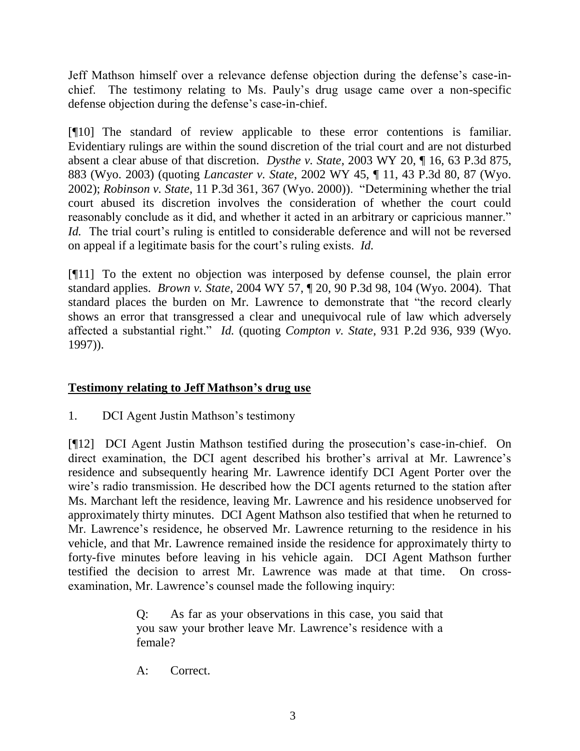Jeff Mathson himself over a relevance defense objection during the defense"s case-inchief. The testimony relating to Ms. Pauly"s drug usage came over a non-specific defense objection during the defense's case-in-chief.

[¶10] The standard of review applicable to these error contentions is familiar. Evidentiary rulings are within the sound discretion of the trial court and are not disturbed absent a clear abuse of that discretion. *Dysthe v. State*, 2003 WY 20, ¶ 16, 63 P.3d 875, 883 (Wyo. 2003) (quoting *Lancaster v. State*, 2002 WY 45, ¶ 11, 43 P.3d 80, 87 (Wyo. 2002); *Robinson v. State*, 11 P.3d 361, 367 (Wyo. 2000)). "Determining whether the trial court abused its discretion involves the consideration of whether the court could reasonably conclude as it did, and whether it acted in an arbitrary or capricious manner." *Id.* The trial court's ruling is entitled to considerable deference and will not be reversed on appeal if a legitimate basis for the court"s ruling exists. *Id.*

[¶11] To the extent no objection was interposed by defense counsel, the plain error standard applies. *Brown v. State*, 2004 WY 57, ¶ 20, 90 P.3d 98, 104 (Wyo. 2004). That standard places the burden on Mr. Lawrence to demonstrate that "the record clearly shows an error that transgressed a clear and unequivocal rule of law which adversely affected a substantial right." *Id.* (quoting *Compton v. State*, 931 P.2d 936, 939 (Wyo. 1997)).

# **Testimony relating to Jeff Mathson's drug use**

1. DCI Agent Justin Mathson"s testimony

[¶12] DCI Agent Justin Mathson testified during the prosecution"s case-in-chief. On direct examination, the DCI agent described his brother's arrival at Mr. Lawrence's residence and subsequently hearing Mr. Lawrence identify DCI Agent Porter over the wire's radio transmission. He described how the DCI agents returned to the station after Ms. Marchant left the residence, leaving Mr. Lawrence and his residence unobserved for approximately thirty minutes. DCI Agent Mathson also testified that when he returned to Mr. Lawrence's residence, he observed Mr. Lawrence returning to the residence in his vehicle, and that Mr. Lawrence remained inside the residence for approximately thirty to forty-five minutes before leaving in his vehicle again. DCI Agent Mathson further testified the decision to arrest Mr. Lawrence was made at that time. On crossexamination, Mr. Lawrence's counsel made the following inquiry:

> Q: As far as your observations in this case, you said that you saw your brother leave Mr. Lawrence"s residence with a female?

A: Correct.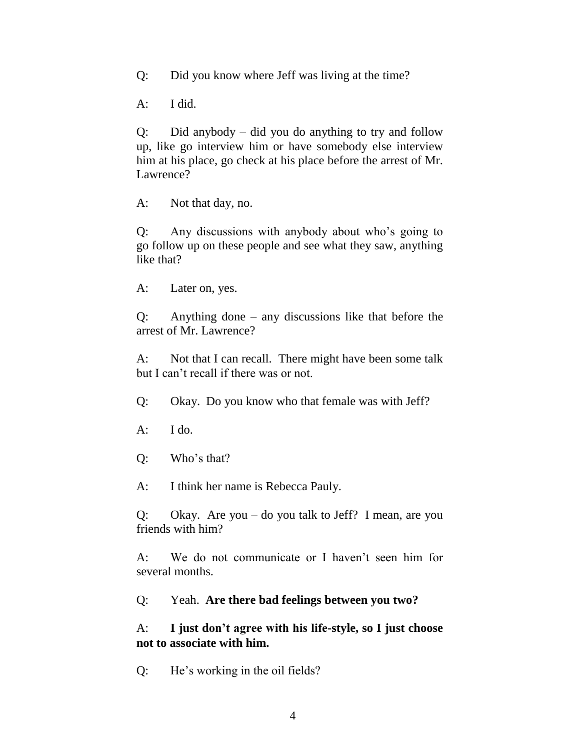Q: Did you know where Jeff was living at the time?

A: I did.

Q: Did anybody – did you do anything to try and follow up, like go interview him or have somebody else interview him at his place, go check at his place before the arrest of Mr. Lawrence?

A: Not that day, no.

Q: Any discussions with anybody about who"s going to go follow up on these people and see what they saw, anything like that?

A: Later on, yes.

Q: Anything done – any discussions like that before the arrest of Mr. Lawrence?

A: Not that I can recall. There might have been some talk but I can"t recall if there was or not.

Q: Okay. Do you know who that female was with Jeff?

- $A:$  I do.
- Q: Who"s that?

A: I think her name is Rebecca Pauly.

Q: Okay. Are you – do you talk to Jeff? I mean, are you friends with him?

A: We do not communicate or I haven't seen him for several months.

Q: Yeah. **Are there bad feelings between you two?**

## A: **I just don't agree with his life-style, so I just choose not to associate with him.**

Q: He"s working in the oil fields?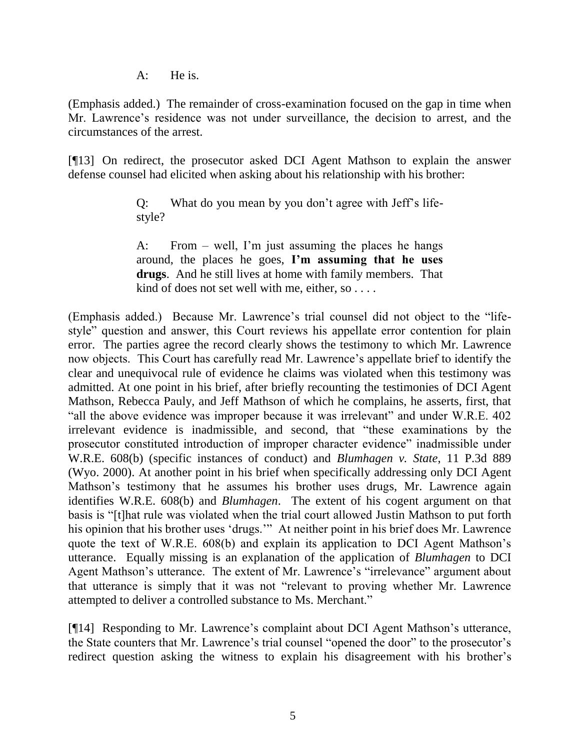A: He is.

(Emphasis added.) The remainder of cross-examination focused on the gap in time when Mr. Lawrence's residence was not under surveillance, the decision to arrest, and the circumstances of the arrest.

[¶13] On redirect, the prosecutor asked DCI Agent Mathson to explain the answer defense counsel had elicited when asking about his relationship with his brother:

> Q: What do you mean by you don"t agree with Jeff"s lifestyle?

> A: From – well, I'm just assuming the places he hangs around, the places he goes, **I'm assuming that he uses drugs**. And he still lives at home with family members. That kind of does not set well with me, either, so . . . .

(Emphasis added.) Because Mr. Lawrence"s trial counsel did not object to the "lifestyle" question and answer, this Court reviews his appellate error contention for plain error. The parties agree the record clearly shows the testimony to which Mr. Lawrence now objects. This Court has carefully read Mr. Lawrence"s appellate brief to identify the clear and unequivocal rule of evidence he claims was violated when this testimony was admitted. At one point in his brief, after briefly recounting the testimonies of DCI Agent Mathson, Rebecca Pauly, and Jeff Mathson of which he complains, he asserts, first, that "all the above evidence was improper because it was irrelevant" and under W.R.E. 402 irrelevant evidence is inadmissible, and second, that "these examinations by the prosecutor constituted introduction of improper character evidence" inadmissible under W.R.E. 608(b) (specific instances of conduct) and *Blumhagen v. State*, 11 P.3d 889 (Wyo. 2000). At another point in his brief when specifically addressing only DCI Agent Mathson"s testimony that he assumes his brother uses drugs, Mr. Lawrence again identifies W.R.E. 608(b) and *Blumhagen*. The extent of his cogent argument on that basis is "[t]hat rule was violated when the trial court allowed Justin Mathson to put forth his opinion that his brother uses "drugs."" At neither point in his brief does Mr. Lawrence quote the text of W.R.E. 608(b) and explain its application to DCI Agent Mathson"s utterance. Equally missing is an explanation of the application of *Blumhagen* to DCI Agent Mathson's utterance. The extent of Mr. Lawrence's "irrelevance" argument about that utterance is simply that it was not "relevant to proving whether Mr. Lawrence attempted to deliver a controlled substance to Ms. Merchant."

[¶14] Responding to Mr. Lawrence's complaint about DCI Agent Mathson's utterance, the State counters that Mr. Lawrence's trial counsel "opened the door" to the prosecutor's redirect question asking the witness to explain his disagreement with his brother's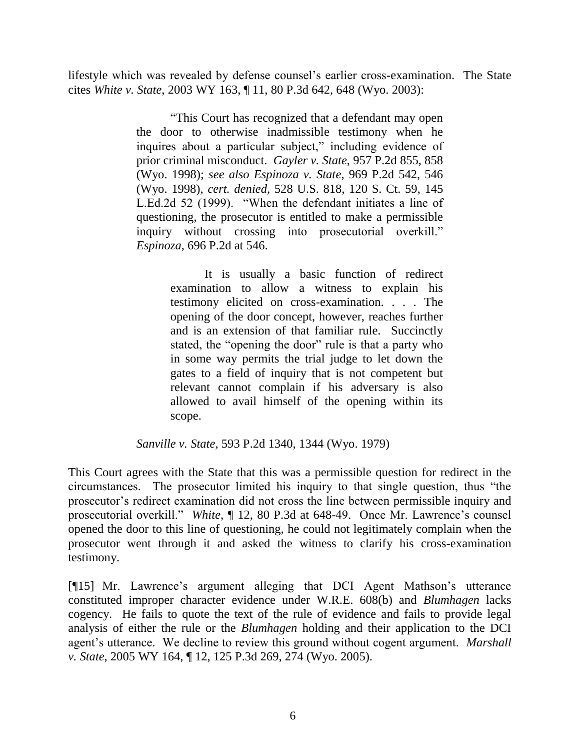lifestyle which was revealed by defense counsel's earlier cross-examination. The State cites *White v. State*, 2003 WY 163, ¶ 11, 80 P.3d 642, 648 (Wyo. 2003):

> "This Court has recognized that a defendant may open the door to otherwise inadmissible testimony when he inquires about a particular subject," including evidence of prior criminal misconduct. *Gayler v. State*, 957 P.2d 855, 858 (Wyo. 1998); *see also Espinoza v. State*, 969 P.2d 542, 546 (Wyo. 1998), *cert. denied,* 528 U.S. 818, 120 S. Ct. 59, 145 L.Ed.2d 52 (1999). "When the defendant initiates a line of questioning, the prosecutor is entitled to make a permissible inquiry without crossing into prosecutorial overkill." *Espinoza*, 696 P.2d at 546.

> > It is usually a basic function of redirect examination to allow a witness to explain his testimony elicited on cross-examination. . . . The opening of the door concept, however, reaches further and is an extension of that familiar rule. Succinctly stated, the "opening the door" rule is that a party who in some way permits the trial judge to let down the gates to a field of inquiry that is not competent but relevant cannot complain if his adversary is also allowed to avail himself of the opening within its scope.

*Sanville v. State*, 593 P.2d 1340, 1344 (Wyo. 1979)

This Court agrees with the State that this was a permissible question for redirect in the circumstances. The prosecutor limited his inquiry to that single question, thus "the prosecutor"s redirect examination did not cross the line between permissible inquiry and prosecutorial overkill." *White*, ¶ 12, 80 P.3d at 648-49. Once Mr. Lawrence"s counsel opened the door to this line of questioning, he could not legitimately complain when the prosecutor went through it and asked the witness to clarify his cross-examination testimony.

[¶15] Mr. Lawrence's argument alleging that DCI Agent Mathson's utterance constituted improper character evidence under W.R.E. 608(b) and *Blumhagen* lacks cogency. He fails to quote the text of the rule of evidence and fails to provide legal analysis of either the rule or the *Blumhagen* holding and their application to the DCI agent's utterance. We decline to review this ground without cogent argument. *Marshall v. State*, 2005 WY 164, ¶ 12, 125 P.3d 269, 274 (Wyo. 2005).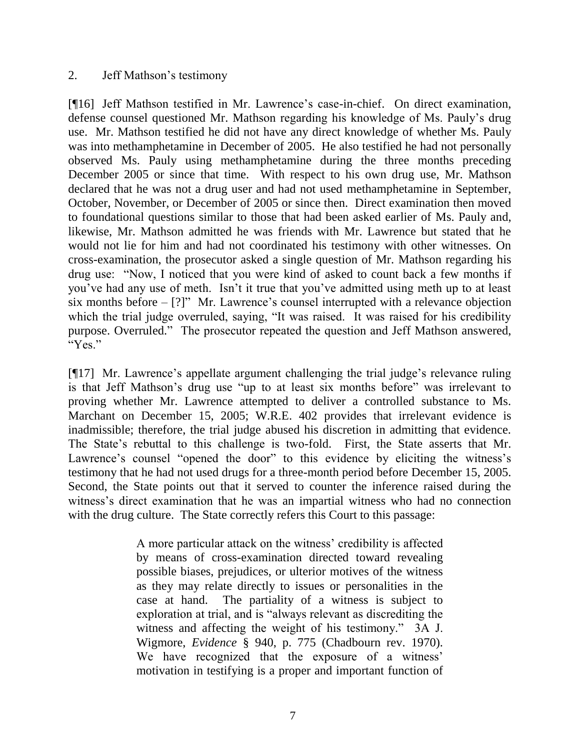#### 2. Jeff Mathson"s testimony

[¶16] Jeff Mathson testified in Mr. Lawrence"s case-in-chief. On direct examination, defense counsel questioned Mr. Mathson regarding his knowledge of Ms. Pauly"s drug use. Mr. Mathson testified he did not have any direct knowledge of whether Ms. Pauly was into methamphetamine in December of 2005. He also testified he had not personally observed Ms. Pauly using methamphetamine during the three months preceding December 2005 or since that time. With respect to his own drug use, Mr. Mathson declared that he was not a drug user and had not used methamphetamine in September, October, November, or December of 2005 or since then. Direct examination then moved to foundational questions similar to those that had been asked earlier of Ms. Pauly and, likewise, Mr. Mathson admitted he was friends with Mr. Lawrence but stated that he would not lie for him and had not coordinated his testimony with other witnesses. On cross-examination, the prosecutor asked a single question of Mr. Mathson regarding his drug use: "Now, I noticed that you were kind of asked to count back a few months if you"ve had any use of meth. Isn"t it true that you"ve admitted using meth up to at least six months before  $-$  [?]" Mr. Lawrence's counsel interrupted with a relevance objection which the trial judge overruled, saying, "It was raised. It was raised for his credibility purpose. Overruled." The prosecutor repeated the question and Jeff Mathson answered, "Yes."

[¶17] Mr. Lawrence's appellate argument challenging the trial judge's relevance ruling is that Jeff Mathson"s drug use "up to at least six months before" was irrelevant to proving whether Mr. Lawrence attempted to deliver a controlled substance to Ms. Marchant on December 15, 2005; W.R.E. 402 provides that irrelevant evidence is inadmissible; therefore, the trial judge abused his discretion in admitting that evidence. The State's rebuttal to this challenge is two-fold. First, the State asserts that Mr. Lawrence's counsel "opened the door" to this evidence by eliciting the witness's testimony that he had not used drugs for a three-month period before December 15, 2005. Second, the State points out that it served to counter the inference raised during the witness's direct examination that he was an impartial witness who had no connection with the drug culture. The State correctly refers this Court to this passage:

> A more particular attack on the witness" credibility is affected by means of cross-examination directed toward revealing possible biases, prejudices, or ulterior motives of the witness as they may relate directly to issues or personalities in the case at hand. The partiality of a witness is subject to exploration at trial, and is "always relevant as discrediting the witness and affecting the weight of his testimony." 3A J. Wigmore, *Evidence* § 940, p. 775 (Chadbourn rev. 1970). We have recognized that the exposure of a witness' motivation in testifying is a proper and important function of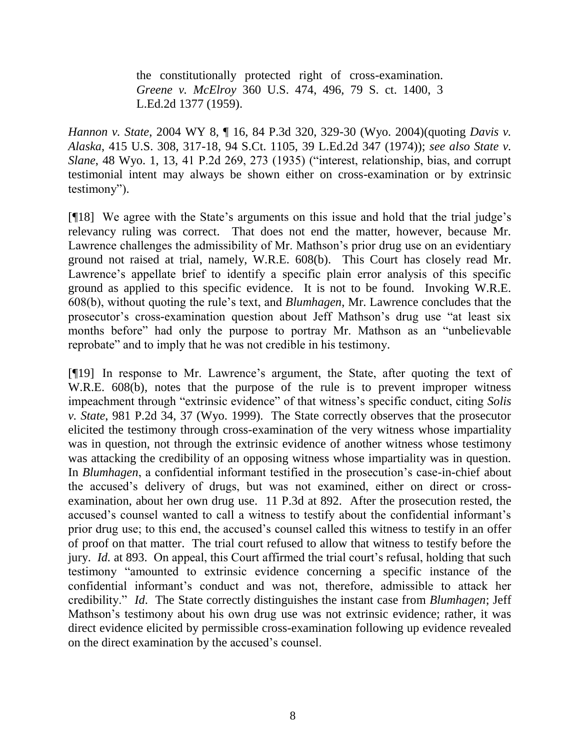the constitutionally protected right of cross-examination. *Greene v. McElroy* 360 U.S. 474, 496, 79 S. ct. 1400, 3 L.Ed.2d 1377 (1959).

*Hannon v. State*, 2004 WY 8, ¶ 16, 84 P.3d 320, 329-30 (Wyo. 2004)(quoting *Davis v. Alaska*, 415 U.S. 308, 317-18, 94 S.Ct. 1105, 39 L.Ed.2d 347 (1974)); *see also State v. Slane*, 48 Wyo. 1, 13, 41 P.2d 269, 273 (1935) ("interest, relationship, bias, and corrupt testimonial intent may always be shown either on cross-examination or by extrinsic testimony").

[¶18] We agree with the State"s arguments on this issue and hold that the trial judge"s relevancy ruling was correct. That does not end the matter, however, because Mr. Lawrence challenges the admissibility of Mr. Mathson's prior drug use on an evidentiary ground not raised at trial, namely, W.R.E. 608(b). This Court has closely read Mr. Lawrence's appellate brief to identify a specific plain error analysis of this specific ground as applied to this specific evidence. It is not to be found. Invoking W.R.E. 608(b), without quoting the rule"s text, and *Blumhagen*, Mr. Lawrence concludes that the prosecutor"s cross-examination question about Jeff Mathson"s drug use "at least six months before" had only the purpose to portray Mr. Mathson as an "unbelievable reprobate" and to imply that he was not credible in his testimony.

[¶19] In response to Mr. Lawrence"s argument, the State, after quoting the text of W.R.E. 608(b), notes that the purpose of the rule is to prevent improper witness impeachment through "extrinsic evidence" of that witness"s specific conduct, citing *Solis v. State*, 981 P.2d 34, 37 (Wyo. 1999). The State correctly observes that the prosecutor elicited the testimony through cross-examination of the very witness whose impartiality was in question, not through the extrinsic evidence of another witness whose testimony was attacking the credibility of an opposing witness whose impartiality was in question. In *Blumhagen*, a confidential informant testified in the prosecution's case-in-chief about the accused"s delivery of drugs, but was not examined, either on direct or crossexamination, about her own drug use. 11 P.3d at 892. After the prosecution rested, the accused's counsel wanted to call a witness to testify about the confidential informant's prior drug use; to this end, the accused"s counsel called this witness to testify in an offer of proof on that matter. The trial court refused to allow that witness to testify before the jury. *Id.* at 893. On appeal, this Court affirmed the trial court's refusal, holding that such testimony "amounted to extrinsic evidence concerning a specific instance of the confidential informant"s conduct and was not, therefore, admissible to attack her credibility." *Id*. The State correctly distinguishes the instant case from *Blumhagen*; Jeff Mathson"s testimony about his own drug use was not extrinsic evidence; rather, it was direct evidence elicited by permissible cross-examination following up evidence revealed on the direct examination by the accused"s counsel.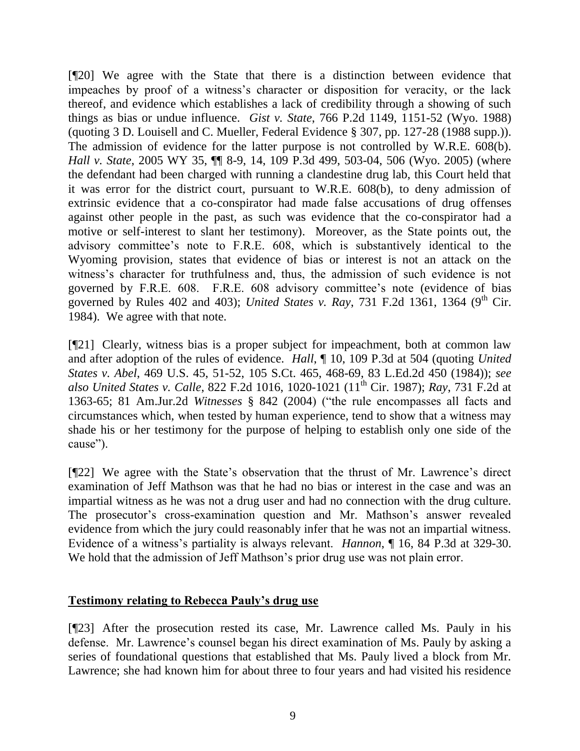[¶20] We agree with the State that there is a distinction between evidence that impeaches by proof of a witness"s character or disposition for veracity, or the lack thereof, and evidence which establishes a lack of credibility through a showing of such things as bias or undue influence. *Gist v. State*, 766 P.2d 1149, 1151-52 (Wyo. 1988) (quoting 3 D. Louisell and C. Mueller, Federal Evidence § 307, pp. 127-28 (1988 supp.)). The admission of evidence for the latter purpose is not controlled by W.R.E. 608(b). *Hall v. State*, 2005 WY 35, ¶¶ 8-9, 14, 109 P.3d 499, 503-04, 506 (Wyo. 2005) (where the defendant had been charged with running a clandestine drug lab, this Court held that it was error for the district court, pursuant to W.R.E. 608(b), to deny admission of extrinsic evidence that a co-conspirator had made false accusations of drug offenses against other people in the past, as such was evidence that the co-conspirator had a motive or self-interest to slant her testimony). Moreover, as the State points out, the advisory committee"s note to F.R.E. 608, which is substantively identical to the Wyoming provision, states that evidence of bias or interest is not an attack on the witness"s character for truthfulness and, thus, the admission of such evidence is not governed by F.R.E. 608. F.R.E. 608 advisory committee"s note (evidence of bias governed by Rules 402 and 403); *United States v. Ray*, 731 F.2d 1361, 1364 (9<sup>th</sup> Cir. 1984). We agree with that note.

[¶21] Clearly, witness bias is a proper subject for impeachment, both at common law and after adoption of the rules of evidence. *Hall*, ¶ 10, 109 P.3d at 504 (quoting *United States v. Abel*, 469 U.S. 45, 51-52, 105 S.Ct. 465, 468-69, 83 L.Ed.2d 450 (1984)); *see also United States v. Calle, 822 F.2d 1016, 1020-1021* (11<sup>th</sup> Cir. 1987); *Ray, 731 F.2d at* 1363-65; 81 Am.Jur.2d *Witnesses* § 842 (2004) ("the rule encompasses all facts and circumstances which, when tested by human experience, tend to show that a witness may shade his or her testimony for the purpose of helping to establish only one side of the cause").

[¶22] We agree with the State"s observation that the thrust of Mr. Lawrence"s direct examination of Jeff Mathson was that he had no bias or interest in the case and was an impartial witness as he was not a drug user and had no connection with the drug culture. The prosecutor's cross-examination question and Mr. Mathson's answer revealed evidence from which the jury could reasonably infer that he was not an impartial witness. Evidence of a witness"s partiality is always relevant. *Hannon*, ¶ 16, 84 P.3d at 329-30. We hold that the admission of Jeff Mathson's prior drug use was not plain error.

#### **Testimony relating to Rebecca Pauly's drug use**

[¶23] After the prosecution rested its case, Mr. Lawrence called Ms. Pauly in his defense. Mr. Lawrence"s counsel began his direct examination of Ms. Pauly by asking a series of foundational questions that established that Ms. Pauly lived a block from Mr. Lawrence; she had known him for about three to four years and had visited his residence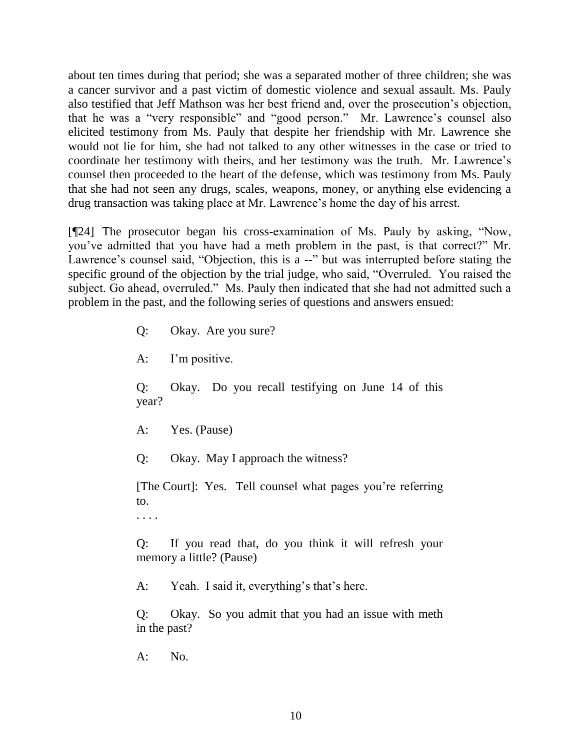about ten times during that period; she was a separated mother of three children; she was a cancer survivor and a past victim of domestic violence and sexual assault. Ms. Pauly also testified that Jeff Mathson was her best friend and, over the prosecution"s objection, that he was a "very responsible" and "good person." Mr. Lawrence"s counsel also elicited testimony from Ms. Pauly that despite her friendship with Mr. Lawrence she would not lie for him, she had not talked to any other witnesses in the case or tried to coordinate her testimony with theirs, and her testimony was the truth. Mr. Lawrence"s counsel then proceeded to the heart of the defense, which was testimony from Ms. Pauly that she had not seen any drugs, scales, weapons, money, or anything else evidencing a drug transaction was taking place at Mr. Lawrence"s home the day of his arrest.

[¶24] The prosecutor began his cross-examination of Ms. Pauly by asking, "Now, you"ve admitted that you have had a meth problem in the past, is that correct?" Mr. Lawrence's counsel said, "Objection, this is a --" but was interrupted before stating the specific ground of the objection by the trial judge, who said, "Overruled. You raised the subject. Go ahead, overruled." Ms. Pauly then indicated that she had not admitted such a problem in the past, and the following series of questions and answers ensued:

Q: Okay. Are you sure?

A: I'm positive.

Q: Okay. Do you recall testifying on June 14 of this year?

A: Yes. (Pause)

Q: Okay. May I approach the witness?

[The Court]: Yes. Tell counsel what pages you"re referring to.

. . . .

Q: If you read that, do you think it will refresh your memory a little? (Pause)

A: Yeah. I said it, everything's that's here.

Q: Okay. So you admit that you had an issue with meth in the past?

 $A:$  No.